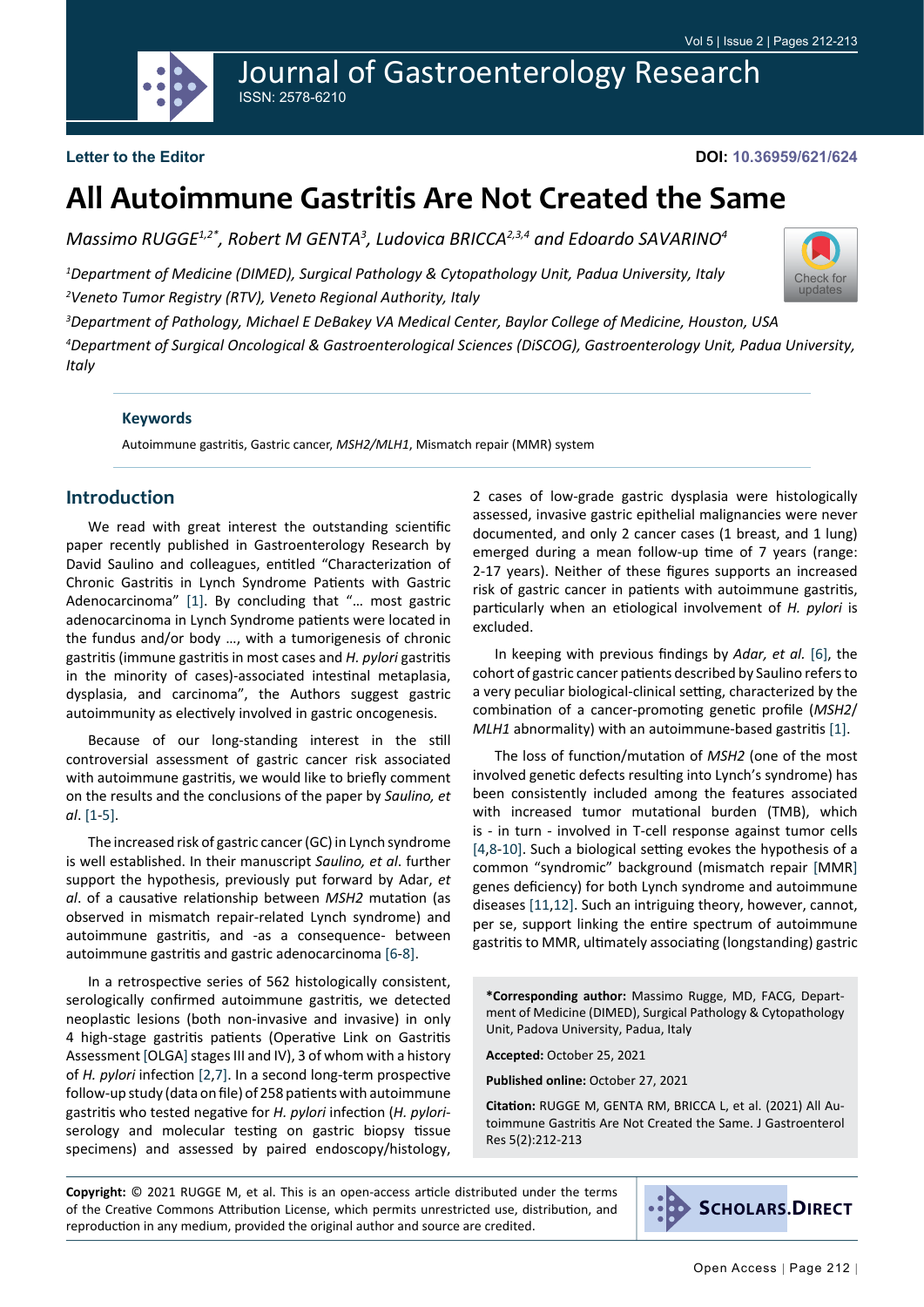



### **Letter to the Editor**

**DOI: 10.36959/621/624**

[Check for](http://crossmark.crossref.org/dialog/?doi=10.36959/621/624&domain=pdf) updates

# **All Autoimmune Gastritis Are Not Created the Same**

*Massimo RUGGE1,2\*, Robert M GENTA3 , Ludovica BRICCA2,3,4 and Edoardo SAVARINO4*

*1 Department of Medicine (DIMED), Surgical Pathology & Cytopathology Unit, Padua University, Italy 2 Veneto Tumor Registry (RTV), Veneto Regional Authority, Italy*

*3 Department of Pathology, Michael E DeBakey VA Medical Center, Baylor College of Medicine, Houston, USA*

*4 Department of Surgical Oncological & Gastroenterological Sciences (DiSCOG), Gastroenterology Unit, Padua University, Italy*

#### **Keywords**

Autoimmune gastritis, Gastric cancer, *MSH2/MLH1*, Mismatch repair (MMR) system

# **Introduction**

We read with great interest the outstanding scientific paper recently published in Gastroenterology Research by David Saulino and colleagues, entitled "Characterization of Chronic Gastritis in Lynch Syndrome Patients with Gastric Adenocarcinoma" [\[1](#page-1-0)]. By concluding that "… most gastric adenocarcinoma in Lynch Syndrome patients were located in the fundus and/or body …, with a tumorigenesis of chronic gastritis (immune gastritis in most cases and *H. pylori* gastritis in the minority of cases)-associated intestinal metaplasia, dysplasia, and carcinoma", the Authors suggest gastric autoimmunity as electively involved in gastric oncogenesis.

Because of our long-standing interest in the still controversial assessment of gastric cancer risk associated with autoimmune gastritis, we would like to briefly comment on the results and the conclusions of the paper by *Saulino, et al*. [[1-](#page-1-0)[5](#page-1-1)].

The increased risk of gastric cancer (GC) in Lynch syndrome is well established. In their manuscript *Saulino, et al*. further support the hypothesis, previously put forward by Adar, *et al*. of a causative relationship between *MSH2* mutation (as observed in mismatch repair-related Lynch syndrome) and autoimmune gastritis, and -as a consequence- between autoimmune gastritis and gastric adenocarcinoma [\[6](#page-1-2)[-8](#page-1-3)].

In a retrospective series of 562 histologically consistent, serologically confirmed autoimmune gastritis, we detected neoplastic lesions (both non-invasive and invasive) in only 4 high-stage gastritis patients (Operative Link on Gastritis Assessment [OLGA] stages III and IV), 3 of whom with a history of *H. pylori* infection [[2](#page-1-4),[7\]](#page-1-5). In a second long-term prospective follow-up study (data on file) of 258 patients with autoimmune gastritis who tested negative for *H. pylori* infection (*H. pylori*serology and molecular testing on gastric biopsy tissue specimens) and assessed by paired endoscopy/histology, 2 cases of low-grade gastric dysplasia were histologically assessed, invasive gastric epithelial malignancies were never documented, and only 2 cancer cases (1 breast, and 1 lung) emerged during a mean follow-up time of 7 years (range: 2-17 years). Neither of these figures supports an increased risk of gastric cancer in patients with autoimmune gastritis, particularly when an etiological involvement of *H. pylori* is excluded.

In keeping with previous findings by *Adar, et al.* [\[6](#page-1-2)], the cohort of gastric cancer patients described by Saulino refers to a very peculiar biological-clinical setting, characterized by the combination of a cancer-promoting genetic profile (*MSH2*/ *MLH1* abnormality) with an autoimmune-based gastritis [[1\]](#page-1-0).

The loss of function/mutation of *MSH2* (one of the most involved genetic defects resulting into Lynch's syndrome) has been consistently included among the features associated with increased tumor mutational burden (TMB), which is - in turn - involved in T-cell response against tumor cells [[4](#page-1-6)[,8](#page-1-3)[-10\]](#page-1-7). Such a biological setting evokes the hypothesis of a common "syndromic" background (mismatch repair [MMR] genes deficiency) for both Lynch syndrome and autoimmune diseases [\[11](#page-1-8),[12\]](#page-1-9). Such an intriguing theory, however, cannot, per se, support linking the entire spectrum of autoimmune gastritis to MMR, ultimately associating (longstanding) gastric

**\*Corresponding author:** Massimo Rugge, MD, FACG, Department of Medicine (DIMED), Surgical Pathology & Cytopathology Unit, Padova University, Padua, Italy

**Accepted:** October 25, 2021

**Published online:** October 27, 2021

**Citation:** RUGGE M, GENTA RM, BRICCA L, et al. (2021) All Autoimmune Gastritis Are Not Created the Same. J Gastroenterol Res 5(2):212-213

**Copyright:** © 2021 RUGGE M, et al. This is an open-access article distributed under the terms of the Creative Commons Attribution License, which permits unrestricted use, distribution, and reproduction in any medium, provided the original author and source are credited.